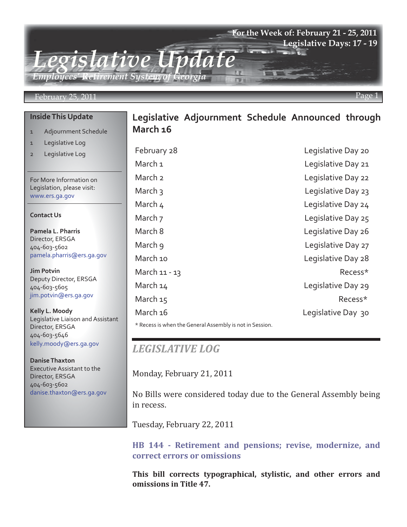

#### February 25, 2011

#### **Inside This Update**

- 1 Adjournment Schedule
- 1 Legislative Log
- 2 Legislative Log

For More Information on Legislation, please visit: www.ers.ga.gov

#### **Contact Us**

**Pamela L. Pharris** Director, ERSGA 404-603-5602 pamela.pharris@ers.ga.gov

**Jim Potvin** Deputy Director, ERSGA 404-603-5605 jim.potvin@ers.ga.gov

**Kelly L. Moody** Legislative Liaison and Assistant Director, ERSGA 404-603-5646 kelly.moody@ers.ga.gov

**Danise Thaxton** Executive Assistant to the Director, ERSGA 404-603-5602 danise.thaxton@ers.ga.gov

## **Legislative Adjournment Schedule Announced through March 16**

February 28 **Legislative Day 20** March 1 Legislative Day 21 March 2 Legislative Day 22 March 3 Legislative Day 23 March 4 Legislative Day 24 March 7 Legislative Day 25 March 8 **March 8** Legislative Day 26 March 9 **Legislative Day 27** March 10 **March 10** Legislative Day 28 March 11 - 13 Recess\* March 14 Legislative Day 29 March 15 Recess\* March 16 and 16 and 16 and 16 and 16 and 16 and 16 and 17 and 18 and 18 and 18 and 18 and 18 and 18 and 18 and 1

\* Recess is when the General Assembly is not in Session.

## *LEGISLATIVE LOG*

Monday, February 21, 2011

No Bills were considered today due to the General Assembly being in recess.

Tuesday, February 22, 2011

**[HB 144 - Retirement and pensions; revise, modernize, and](http://www.legis.ga.gov/Legislation/20112012/108961.pdf) correct errors or omissions**

**This bill corrects typographical, stylistic, and other errors and omissions in Title 47.**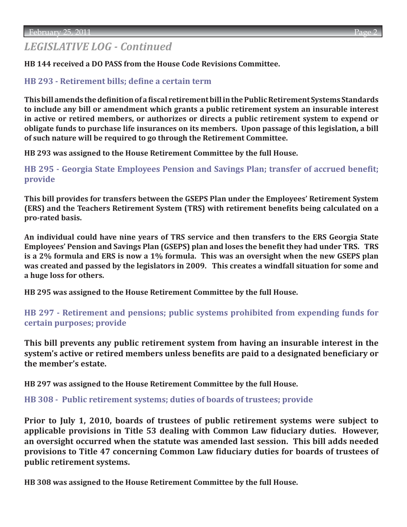# *LEGISLATIVE LOG - Continued*

**HB 144 received a DO PASS from the House Code Revisions Committee.**

### **[HB 293 - Retirement bills; define a certain term](http://www.legis.ga.gov/Legislation/20112012/110554.pdf)**

**This bill amends the definition of a fiscal retirement bill in the Public Retirement Systems Standards to include any bill or amendment which grants a public retirement system an insurable interest in active or retired members, or authorizes or directs a public retirement system to expend or obligate funds to purchase life insurances on its members. Upon passage of this legislation, a bill of such nature will be required to go through the Retirement Committee.** 

**HB 293 was assigned to the House Retirement Committee by the full House.**

**[HB 295 - Georgia State Employees Pension and Savings Plan; transfer of accrued benefit;](http://www.legis.ga.gov/Legislation/20112012/110559.pdf)  provide**

**This bill provides for transfers between the GSEPS Plan under the Employees' Retirement System (ERS) and the Teachers Retirement System (TRS) with retirement benefits being calculated on a pro-rated basis.** 

**An individual could have nine years of TRS service and then transfers to the ERS Georgia State Employees' Pension and Savings Plan (GSEPS) plan and loses the benefit they had under TRS. TRS is a 2% formula and ERS is now a 1% formula. This was an oversight when the new GSEPS plan was created and passed by the legislators in 2009. This creates a windfall situation for some and a huge loss for others.** 

**HB 295 was assigned to the House Retirement Committee by the full House.**

**[HB 297 - Retirement and pensions; public systems prohibited from expending funds for](http://www.legis.ga.gov/Legislation/20112012/110561.pdf)  certain purposes; provide**

**This bill prevents any public retirement system from having an insurable interest in the system's active or retired members unless benefits are paid to a designated beneficiary or the member's estate.**

**HB 297 was assigned to the House Retirement Committee by the full House.**

**[HB 308 - Public retirement systems; duties of boards of trustees; provide](http://www.legis.ga.gov/Legislation/20112012/110619.pdf)**

**Prior to July 1, 2010, boards of trustees of public retirement systems were subject to applicable provisions in Title 53 dealing with Common Law fiduciary duties. However, an oversight occurred when the statute was amended last session. This bill adds needed provisions to Title 47 concerning Common Law fiduciary duties for boards of trustees of public retirement systems.**

**HB 308 was assigned to the House Retirement Committee by the full House.**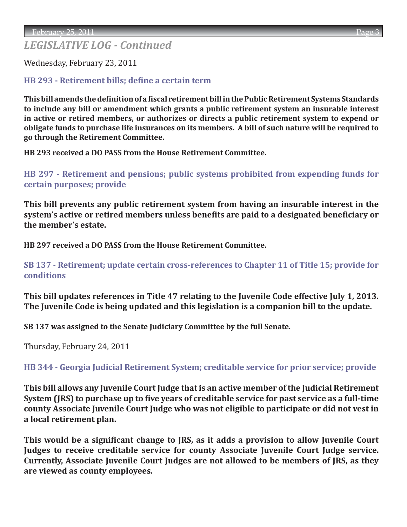## *LEGISLATIVE LOG - Continued*

Wednesday, February 23, 2011

### **[HB 293 - Retirement bills; define a certain term](http://www.legis.ga.gov/Legislation/20112012/110554.pdf)**

**This bill amends the definition of a fiscal retirement bill in the Public Retirement Systems Standards to include any bill or amendment which grants a public retirement system an insurable interest in active or retired members, or authorizes or directs a public retirement system to expend or obligate funds to purchase life insurances on its members. A bill of such nature will be required to go through the Retirement Committee.** 

**HB 293 received a DO PASS from the House Retirement Committee.**

**[HB 297 - Retirement and pensions; public systems prohibited from expending funds for](http://www.legis.ga.gov/Legislation/20112012/110561.pdf)  certain purposes; provide**

**This bill prevents any public retirement system from having an insurable interest in the system's active or retired members unless benefits are paid to a designated beneficiary or the member's estate.**

**HB 297 received a DO PASS from the House Retirement Committee.**

**[SB 137 - Retirement; update certain cross-references to Chapter 11 of Title 15; provide for](http://www.legis.ga.gov/Legislation/20112012/110865.pdf)  conditions**

**This bill updates references in Title 47 relating to the Juvenile Code effective July 1, 2013. The Juvenile Code is being updated and this legislation is a companion bill to the update.**

**SB 137 was assigned to the Senate Judiciary Committee by the full Senate.**

Thursday, February 24, 2011

**[HB 344 - Georgia Judicial Retirement System; creditable service for prior service; provide](http://www.legis.ga.gov/Legislation/20112012/110966.pdf)**

**This bill allows any Juvenile Court Judge that is an active member of the Judicial Retirement System (JRS) to purchase up to five years of creditable service for past service as a full-time county Associate Juvenile Court Judge who was not eligible to participate or did not vest in a local retirement plan.**

**This would be a significant change to JRS, as it adds a provision to allow Juvenile Court Judges to receive creditable service for county Associate Juvenile Court Judge service. Currently, Associate Juvenile Court Judges are not allowed to be members of JRS, as they are viewed as county employees.**